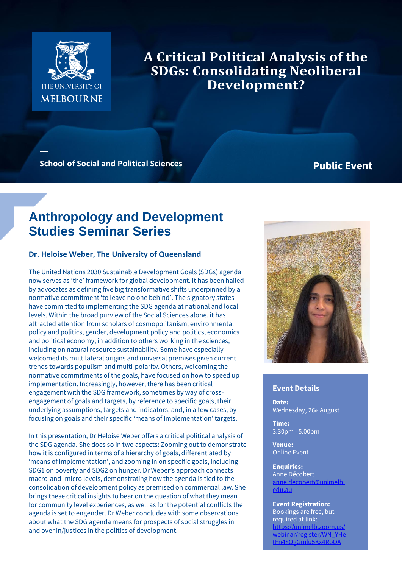

**A Critical Political Analysis of the SDGs: Consolidating Neoliberal Development?** 

**School of Social and Political Sciences Public Event** 

# **Anthropology and Development Studies Seminar Series**

### **Dr. Heloise Weber**, **The University of Queensland**

The United Nations 2030 Sustainable Development Goals (SDGs) agenda now serves as 'the' framework for global development. It has been hailed by advocates as defining five big transformative shifts underpinned by a normative commitment 'to leave no one behind'. The signatory states have committed to implementing the SDG agenda at national and local levels. Within the broad purview of the Social Sciences alone, it has attracted attention from scholars of cosmopolitanism, environmental policy and politics, gender, development policy and politics, economics and political economy, in addition to others working in the sciences, including on natural resource sustainability. Some have especially welcomed its multilateral origins and universal premises given current trends towards populism and multi-polarity. Others, welcoming the normative commitments of the goals, have focused on how to speed up implementation. Increasingly, however, there has been critical engagement with the SDG framework, sometimes by way of crossengagement of goals and targets, by reference to specific goals, their underlying assumptions, targets and indicators, and, in a few cases, by focusing on goals and their specific 'means of implementation' targets.

In this presentation, Dr Heloise Weber offers a critical political analysis of the SDG agenda. She does so in two aspects: Zooming out to demonstrate how it is configured in terms of a hierarchy of goals, differentiated by 'means of implementation', and zooming in on specific goals, including SDG1 on poverty and SDG2 on hunger. Dr Weber's approach connects macro-and -micro levels, demonstrating how the agenda is tied to the consolidation of development policy as premised on commercial law. She brings these critical insights to bear on the question of what they mean for community level experiences, as well as for the potential conflicts the agenda is set to engender. Dr Weber concludes with some observations about what the SDG agenda means for prospects of social struggles in and over in/justices in the politics of development.



## **Event Details**

**Date:** Wednesday, 26th August

**Time:** 3.30pm - 5.00pm

**Venue:** Online Event

**Enquiries:**

Anne Décobert [anne.decobert@unimelb.](mailto:anne.decobert@unimelb.edu.au) [edu.au](mailto:anne.decobert@unimelb.edu.au)

#### **Event Registration:**

Bookings are free, but required at link: https://unimelb [webinar/register/WN\\_YHe](https://unimelb.zoom.us/webinar/register/WN_YHetFn48QgGmlu5Kx4RoQA) [tFn48QgGmlu5Kx4RoQA](https://unimelb.zoom.us/webinar/register/WN_YHetFn48QgGmlu5Kx4RoQA)